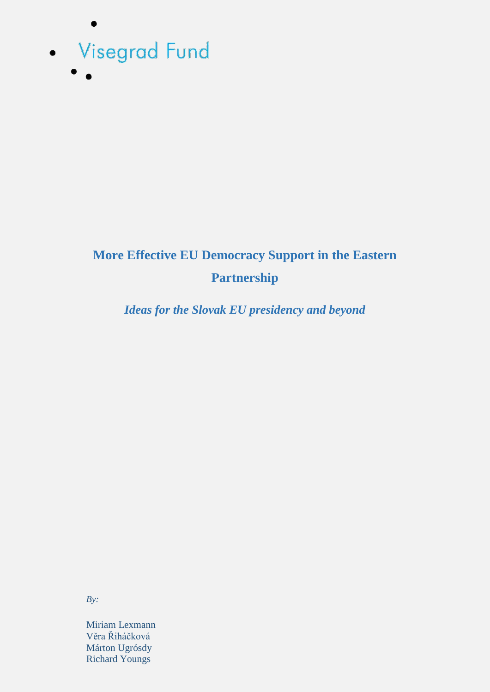

 $\bullet$ 

# **More Effective EU Democracy Support in the Eastern Partnership**

*Ideas for the Slovak EU presidency and beyond*

*By:*

Miriam Lexmann Věra Řiháčková Márton Ugrósdy Richard Youngs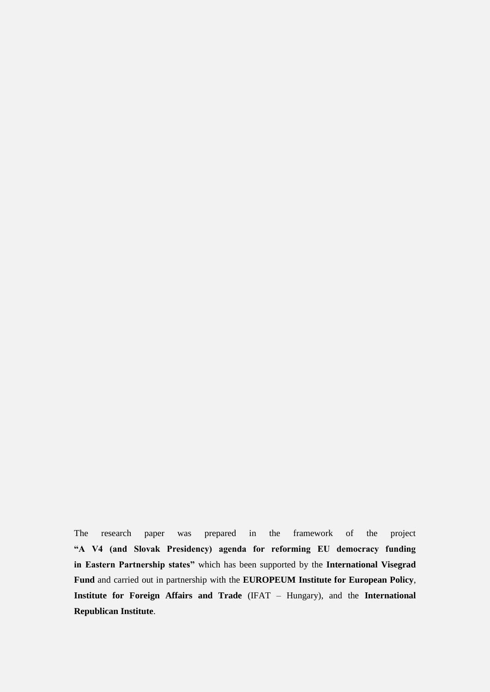The research paper was prepared in the framework of the project **"A V4 (and Slovak Presidency) agenda for reforming EU democracy funding in Eastern Partnership states"** which has been supported by the **International Visegrad Fund** and carried out in partnership with the **EUROPEUM Institute for European Policy**, **Institute for Foreign Affairs and Trade** (IFAT – Hungary), and the **International Republican Institute**.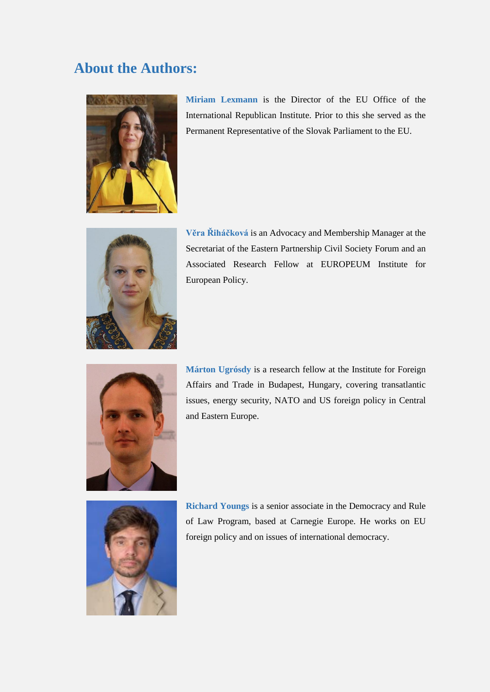### **About the Authors:**



**Miriam Lexmann** is the Director of the EU Office of the International Republican Institute. Prior to this she served as the Permanent Representative of the Slovak Parliament to the EU.



**Věra Řiháčková** is an Advocacy and Membership Manager at the Secretariat of the Eastern Partnership Civil Society Forum and an Associated Research Fellow at EUROPEUM Institute for European Policy.



**Márton Ugrósdy** is a research fellow at the Institute for Foreign Affairs and Trade in Budapest, Hungary, covering transatlantic issues, energy security, NATO and US foreign policy in Central and Eastern Europe.



**Richard Youngs** is a senior associate in the Democracy and Rule of Law Program, based at Carnegie Europe. He works on EU foreign policy and on issues of international democracy.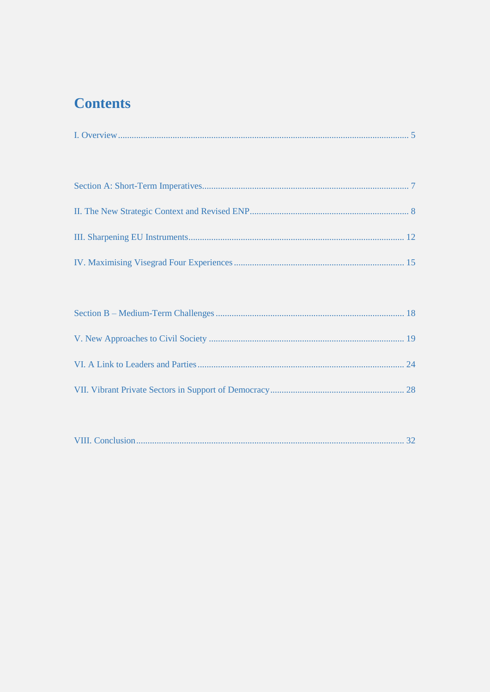## **Contents**

|--|--|--|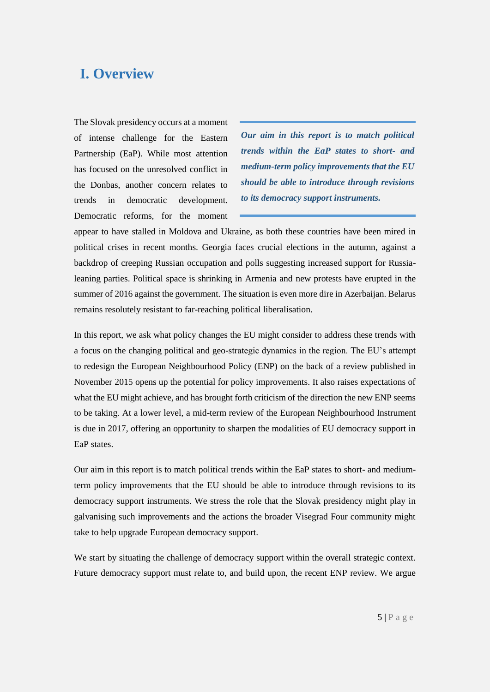### <span id="page-4-0"></span>**I. Overview**

The Slovak presidency occurs at a moment of intense challenge for the Eastern Partnership (EaP). While most attention has focused on the unresolved conflict in the Donbas, another concern relates to trends in democratic development. Democratic reforms, for the moment

*Our aim in this report is to match political trends within the EaP states to short- and medium-term policy improvements that the EU should be able to introduce through revisions to its democracy support instruments.*

appear to have stalled in Moldova and Ukraine, as both these countries have been mired in political crises in recent months. Georgia faces crucial elections in the autumn, against a backdrop of creeping Russian occupation and polls suggesting increased support for Russialeaning parties. Political space is shrinking in Armenia and new protests have erupted in the summer of 2016 against the government. The situation is even more dire in Azerbaijan. Belarus remains resolutely resistant to far-reaching political liberalisation.

In this report, we ask what policy changes the EU might consider to address these trends with a focus on the changing political and geo-strategic dynamics in the region. The EU's attempt to redesign the European Neighbourhood Policy (ENP) on the back of a review published in November 2015 opens up the potential for policy improvements. It also raises expectations of what the EU might achieve, and has brought forth criticism of the direction the new ENP seems to be taking. At a lower level, a mid-term review of the European Neighbourhood Instrument is due in 2017, offering an opportunity to sharpen the modalities of EU democracy support in EaP states.

Our aim in this report is to match political trends within the EaP states to short- and mediumterm policy improvements that the EU should be able to introduce through revisions to its democracy support instruments. We stress the role that the Slovak presidency might play in galvanising such improvements and the actions the broader Visegrad Four community might take to help upgrade European democracy support.

We start by situating the challenge of democracy support within the overall strategic context. Future democracy support must relate to, and build upon, the recent ENP review. We argue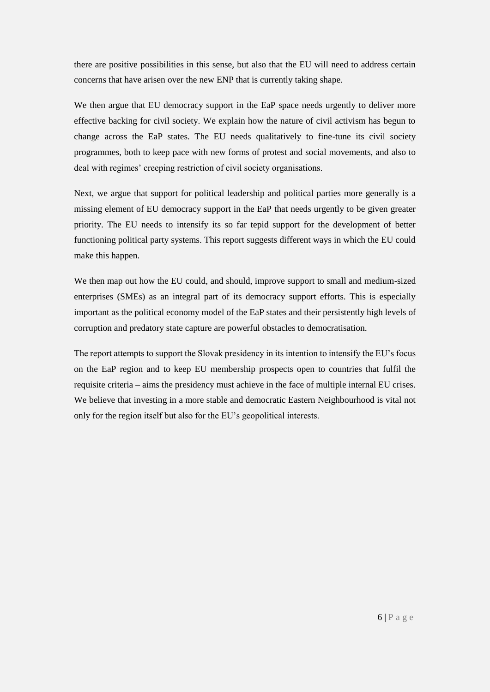there are positive possibilities in this sense, but also that the EU will need to address certain concerns that have arisen over the new ENP that is currently taking shape.

We then argue that EU democracy support in the EaP space needs urgently to deliver more effective backing for civil society. We explain how the nature of civil activism has begun to change across the EaP states. The EU needs qualitatively to fine-tune its civil society programmes, both to keep pace with new forms of protest and social movements, and also to deal with regimes' creeping restriction of civil society organisations.

Next, we argue that support for political leadership and political parties more generally is a missing element of EU democracy support in the EaP that needs urgently to be given greater priority. The EU needs to intensify its so far tepid support for the development of better functioning political party systems. This report suggests different ways in which the EU could make this happen.

We then map out how the EU could, and should, improve support to small and medium-sized enterprises (SMEs) as an integral part of its democracy support efforts. This is especially important as the political economy model of the EaP states and their persistently high levels of corruption and predatory state capture are powerful obstacles to democratisation.

The report attempts to support the Slovak presidency in its intention to intensify the EU's focus on the EaP region and to keep EU membership prospects open to countries that fulfil the requisite criteria – aims the presidency must achieve in the face of multiple internal EU crises. We believe that investing in a more stable and democratic Eastern Neighbourhood is vital not only for the region itself but also for the EU's geopolitical interests.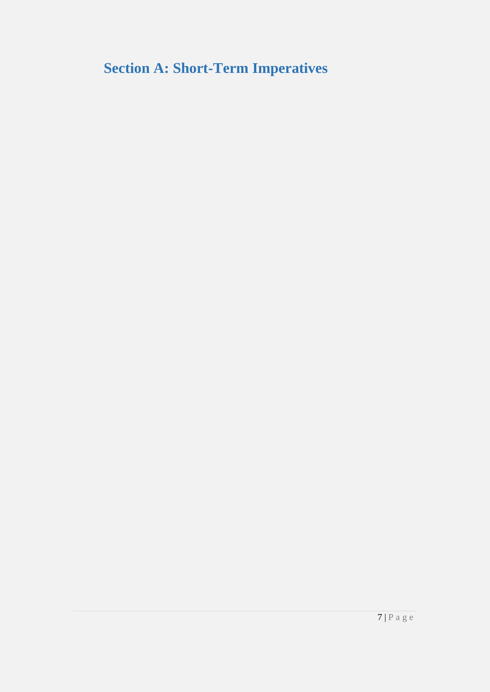<span id="page-6-0"></span>**Section A: Short-Term Imperatives**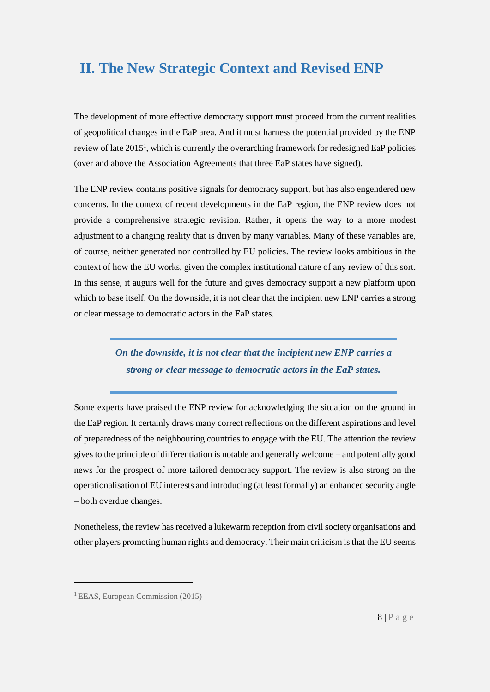## <span id="page-7-0"></span>**II. The New Strategic Context and Revised ENP**

The development of more effective democracy support must proceed from the current realities of geopolitical changes in the EaP area. And it must harness the potential provided by the ENP review of late  $2015<sup>1</sup>$ , which is currently the overarching framework for redesigned EaP policies (over and above the Association Agreements that three EaP states have signed).

The ENP review contains positive signals for democracy support, but has also engendered new concerns. In the context of recent developments in the EaP region, the ENP review does not provide a comprehensive strategic revision. Rather, it opens the way to a more modest adjustment to a changing reality that is driven by many variables. Many of these variables are, of course, neither generated nor controlled by EU policies. The review looks ambitious in the context of how the EU works, given the complex institutional nature of any review of this sort. In this sense, it augurs well for the future and gives democracy support a new platform upon which to base itself. On the downside, it is not clear that the incipient new ENP carries a strong or clear message to democratic actors in the EaP states.

> *On the downside, it is not clear that the incipient new ENP carries a strong or clear message to democratic actors in the EaP states.*

Some experts have praised the ENP review for acknowledging the situation on the ground in the EaP region. It certainly draws many correct reflections on the different aspirations and level of preparedness of the neighbouring countries to engage with the EU. The attention the review gives to the principle of differentiation is notable and generally welcome – and potentially good news for the prospect of more tailored democracy support. The review is also strong on the operationalisation of EU interests and introducing (at least formally) an enhanced security angle – both overdue changes.

Nonetheless, the review has received a lukewarm reception from civil society organisations and other players promoting human rights and democracy. Their main criticism is that the EU seems

<sup>&</sup>lt;sup>1</sup> EEAS, European Commission (2015)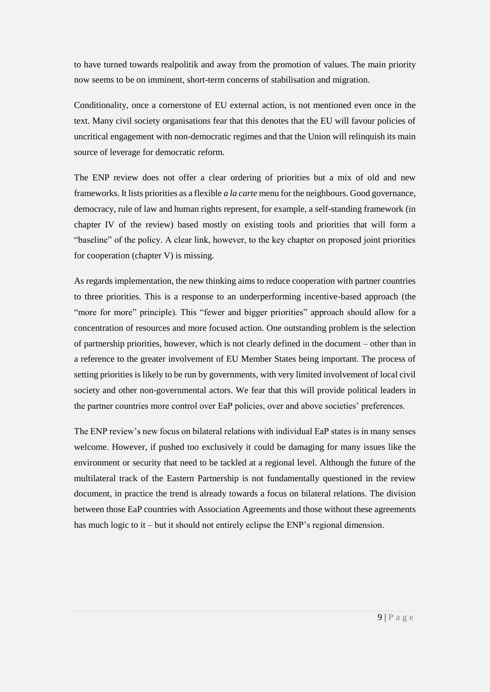to have turned towards realpolitik and away from the promotion of values. The main priority now seems to be on imminent, short-term concerns of stabilisation and migration.

Conditionality, once a cornerstone of EU external action, is not mentioned even once in the text. Many civil society organisations fear that this denotes that the EU will favour policies of uncritical engagement with non-democratic regimes and that the Union will relinquish its main source of leverage for democratic reform.

The ENP review does not offer a clear ordering of priorities but a mix of old and new frameworks. It lists priorities as a flexible *a la carte* menu for the neighbours. Good governance, democracy, rule of law and human rights represent, for example, a self-standing framework (in chapter IV of the review) based mostly on existing tools and priorities that will form a "baseline" of the policy. A clear link, however, to the key chapter on proposed joint priorities for cooperation (chapter V) is missing.

As regards implementation, the new thinking aims to reduce cooperation with partner countries to three priorities. This is a response to an underperforming incentive-based approach (the "more for more" principle). This "fewer and bigger priorities" approach should allow for a concentration of resources and more focused action. One outstanding problem is the selection of partnership priorities, however, which is not clearly defined in the document – other than in a reference to the greater involvement of EU Member States being important. The process of setting priorities is likely to be run by governments, with very limited involvement of local civil society and other non-governmental actors. We fear that this will provide political leaders in the partner countries more control over EaP policies, over and above societies' preferences.

The ENP review's new focus on bilateral relations with individual EaP states is in many senses welcome. However, if pushed too exclusively it could be damaging for many issues like the environment or security that need to be tackled at a regional level. Although the future of the multilateral track of the Eastern Partnership is not fundamentally questioned in the review document, in practice the trend is already towards a focus on bilateral relations. The division between those EaP countries with Association Agreements and those without these agreements has much logic to it – but it should not entirely eclipse the ENP's regional dimension.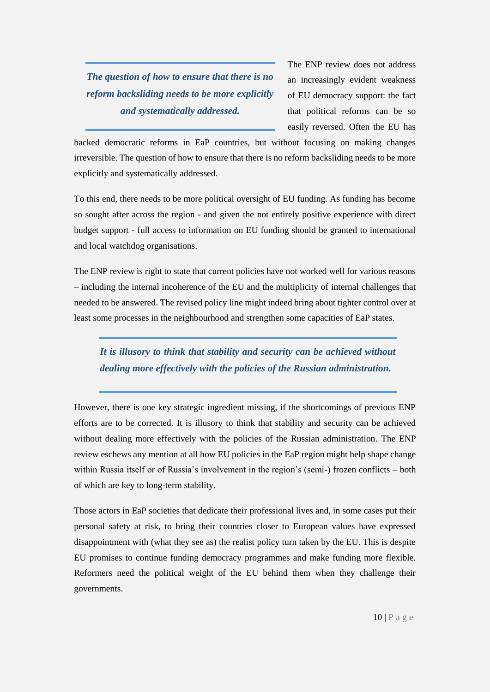*The question of how to ensure that there is no reform backsliding needs to be more explicitly and systematically addressed.*

The ENP review does not address an increasingly evident weakness of EU democracy support: the fact that political reforms can be so easily reversed. Often the EU has

backed democratic reforms in EaP countries, but without focusing on making changes irreversible. The question of how to ensure that there is no reform backsliding needs to be more explicitly and systematically addressed.

To this end, there needs to be more political oversight of EU funding. As funding has become so sought after across the region - and given the not entirely positive experience with direct budget support - full access to information on EU funding should be granted to international and local watchdog organisations.

The ENP review is right to state that current policies have not worked well for various reasons – including the internal incoherence of the EU and the multiplicity of internal challenges that needed to be answered. The revised policy line might indeed bring about tighter control over at least some processes in the neighbourhood and strengthen some capacities of EaP states.

#### *It is illusory to think that stability and security can be achieved without dealing more effectively with the policies of the Russian administration.*

However, there is one key strategic ingredient missing, if the shortcomings of previous ENP efforts are to be corrected. It is illusory to think that stability and security can be achieved without dealing more effectively with the policies of the Russian administration. The ENP review eschews any mention at all how EU policies in the EaP region might help shape change within Russia itself or of Russia's involvement in the region's (semi-) frozen conflicts – both of which are key to long-term stability.

Those actors in EaP societies that dedicate their professional lives and, in some cases put their personal safety at risk, to bring their countries closer to European values have expressed disappointment with (what they see as) the realist policy turn taken by the EU. This is despite EU promises to continue funding democracy programmes and make funding more flexible. Reformers need the political weight of the EU behind them when they challenge their governments.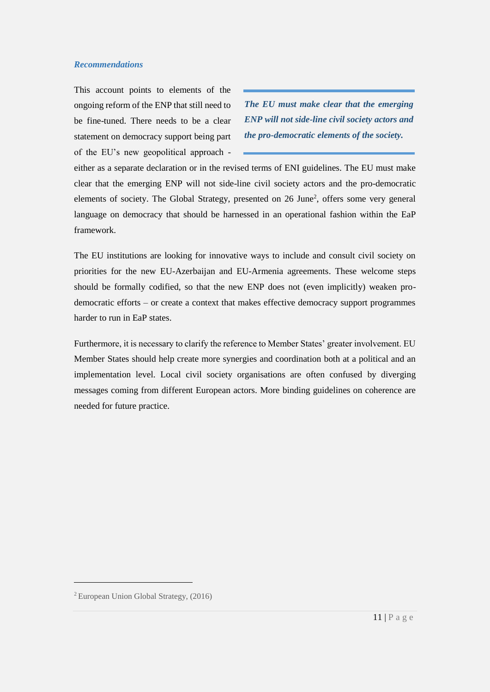#### *Recommendations*

This account points to elements of the ongoing reform of the ENP that still need to be fine-tuned. There needs to be a clear statement on democracy support being part of the EU's new geopolitical approach -

*The EU must make clear that the emerging ENP will not side-line civil society actors and the pro-democratic elements of the society.*

either as a separate declaration or in the revised terms of ENI guidelines. The EU must make clear that the emerging ENP will not side-line civil society actors and the pro-democratic elements of society. The Global Strategy, presented on 26 June<sup>2</sup>, offers some very general language on democracy that should be harnessed in an operational fashion within the EaP framework.

The EU institutions are looking for innovative ways to include and consult civil society on priorities for the new EU-Azerbaijan and EU-Armenia agreements. These welcome steps should be formally codified, so that the new ENP does not (even implicitly) weaken prodemocratic efforts – or create a context that makes effective democracy support programmes harder to run in EaP states.

Furthermore, it is necessary to clarify the reference to Member States' greater involvement. EU Member States should help create more synergies and coordination both at a political and an implementation level. Local civil society organisations are often confused by diverging messages coming from different European actors. More binding guidelines on coherence are needed for future practice.

<sup>2</sup> European Union Global Strategy, (2016)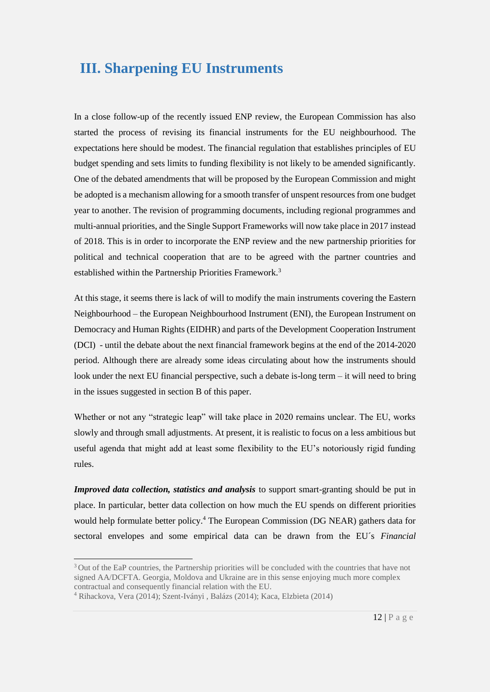### <span id="page-11-0"></span>**III. Sharpening EU Instruments**

In a close follow-up of the recently issued ENP review, the European Commission has also started the process of revising its financial instruments for the EU neighbourhood. The expectations here should be modest. The financial regulation that establishes principles of EU budget spending and sets limits to funding flexibility is not likely to be amended significantly. One of the debated amendments that will be proposed by the European Commission and might be adopted is a mechanism allowing for a smooth transfer of unspent resources from one budget year to another. The revision of programming documents, including regional programmes and multi-annual priorities, and the Single Support Frameworks will now take place in 2017 instead of 2018. This is in order to incorporate the ENP review and the new partnership priorities for political and technical cooperation that are to be agreed with the partner countries and established within the Partnership Priorities Framework.<sup>3</sup>

At this stage, it seems there is lack of will to modify the main instruments covering the Eastern Neighbourhood – the European Neighbourhood Instrument (ENI), the European Instrument on Democracy and Human Rights (EIDHR) and parts of the Development Cooperation Instrument (DCI) - until the debate about the next financial framework begins at the end of the 2014-2020 period. Although there are already some ideas circulating about how the instruments should look under the next EU financial perspective, such a debate is-long term – it will need to bring in the issues suggested in section B of this paper.

Whether or not any "strategic leap" will take place in 2020 remains unclear. The EU, works slowly and through small adjustments. At present, it is realistic to focus on a less ambitious but useful agenda that might add at least some flexibility to the EU's notoriously rigid funding rules.

*Improved data collection, statistics and analysis* to support smart-granting should be put in place. In particular, better data collection on how much the EU spends on different priorities would help formulate better policy.<sup>4</sup> The European Commission (DG NEAR) gathers data for sectoral envelopes and some empirical data can be drawn from the EU´s *Financial* 

-

<sup>&</sup>lt;sup>3</sup> Out of the EaP countries, the Partnership priorities will be concluded with the countries that have not signed AA/DCFTA. Georgia, Moldova and Ukraine are in this sense enjoying much more complex contractual and consequently financial relation with the EU.

<sup>4</sup> Rihackova, Vera (2014); Szent-Iványi , Balázs (2014); Kaca, Elzbieta (2014)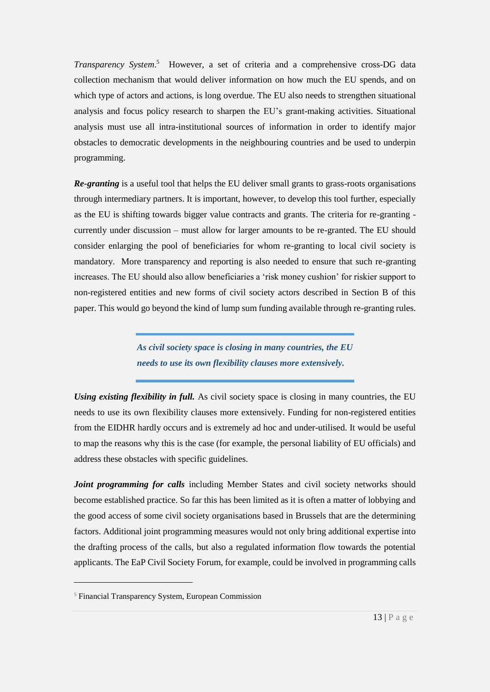*Transparency System.*<sup>5</sup> However, a set of criteria and a comprehensive cross-DG data collection mechanism that would deliver information on how much the EU spends, and on which type of actors and actions, is long overdue. The EU also needs to strengthen situational analysis and focus policy research to sharpen the EU's grant-making activities. Situational analysis must use all intra-institutional sources of information in order to identify major obstacles to democratic developments in the neighbouring countries and be used to underpin programming.

*Re-granting* is a useful tool that helps the EU deliver small grants to grass-roots organisations through intermediary partners. It is important, however, to develop this tool further, especially as the EU is shifting towards bigger value contracts and grants. The criteria for re-granting currently under discussion – must allow for larger amounts to be re-granted. The EU should consider enlarging the pool of beneficiaries for whom re-granting to local civil society is mandatory. More transparency and reporting is also needed to ensure that such re-granting increases. The EU should also allow beneficiaries a 'risk money cushion' for riskier support to non-registered entities and new forms of civil society actors described in Section B of this paper. This would go beyond the kind of lump sum funding available through re-granting rules.

> *As civil society space is closing in many countries, the EU needs to use its own flexibility clauses more extensively.*

*Using existing flexibility in full.* As civil society space is closing in many countries, the EU needs to use its own flexibility clauses more extensively. Funding for non-registered entities from the EIDHR hardly occurs and is extremely ad hoc and under-utilised. It would be useful to map the reasons why this is the case (for example, the personal liability of EU officials) and address these obstacles with specific guidelines.

*Joint programming for calls* including Member States and civil society networks should become established practice. So far this has been limited as it is often a matter of lobbying and the good access of some civil society organisations based in Brussels that are the determining factors. Additional joint programming measures would not only bring additional expertise into the drafting process of the calls, but also a regulated information flow towards the potential applicants. The EaP Civil Society Forum, for example, could be involved in programming calls

<sup>5</sup> Financial Transparency System, European Commission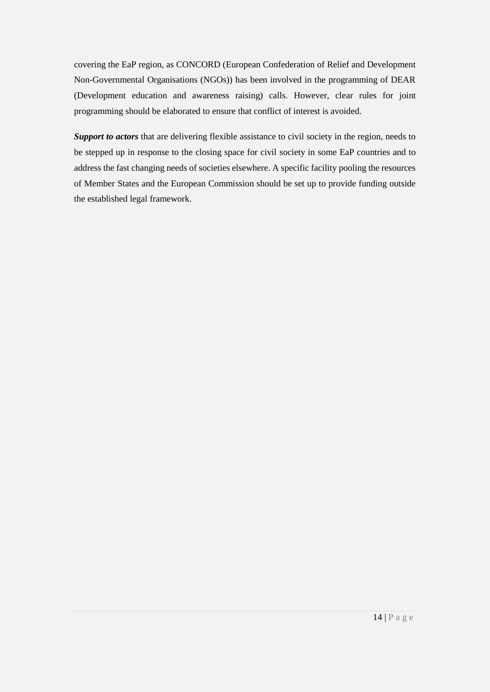covering the EaP region, as CONCORD (European Confederation of Relief and Development Non-Governmental Organisations (NGOs)) has been involved in the programming of DEAR (Development education and awareness raising) calls. However, clear rules for joint programming should be elaborated to ensure that conflict of interest is avoided.

*Support to actors* that are delivering flexible assistance to civil society in the region, needs to be stepped up in response to the closing space for civil society in some EaP countries and to address the fast changing needs of societies elsewhere. A specific facility pooling the resources of Member States and the European Commission should be set up to provide funding outside the established legal framework.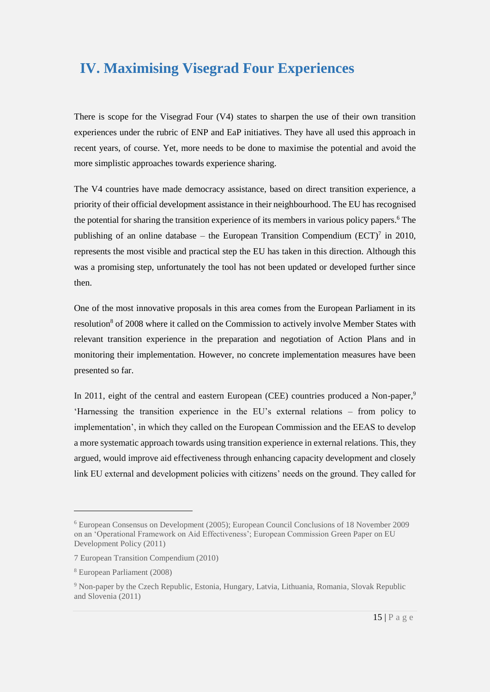## <span id="page-14-0"></span>**IV. Maximising Visegrad Four Experiences**

There is scope for the Visegrad Four (V4) states to sharpen the use of their own transition experiences under the rubric of ENP and EaP initiatives. They have all used this approach in recent years, of course. Yet, more needs to be done to maximise the potential and avoid the more simplistic approaches towards experience sharing.

The V4 countries have made democracy assistance, based on direct transition experience, a priority of their official development assistance in their neighbourhood. The EU has recognised the potential for sharing the transition experience of its members in various policy papers.<sup>6</sup> The publishing of an online database – the European Transition Compendium  $(ECT)^7$  in 2010, represents the most visible and practical step the EU has taken in this direction. Although this was a promising step, unfortunately the tool has not been updated or developed further since then.

One of the most innovative proposals in this area comes from the European Parliament in its resolution<sup>8</sup> of 2008 where it called on the Commission to actively involve Member States with relevant transition experience in the preparation and negotiation of Action Plans and in monitoring their implementation. However, no concrete implementation measures have been presented so far.

In 2011, eight of the central and eastern European (CEE) countries produced a Non-paper,<sup>9</sup> 'Harnessing the transition experience in the EU's external relations – from policy to implementation', in which they called on the European Commission and the EEAS to develop a more systematic approach towards using transition experience in external relations. This, they argued, would improve aid effectiveness through enhancing capacity development and closely link EU external and development policies with citizens' needs on the ground. They called for

-

<sup>6</sup> European Consensus on Development (2005); European Council Conclusions of 18 November 2009 on an 'Operational Framework on Aid Effectiveness'; European Commission Green Paper on EU Development Policy (2011)

<sup>7</sup> European Transition Compendium (2010)

<sup>8</sup> European Parliament (2008)

<sup>9</sup> Non-paper by the Czech Republic, Estonia, Hungary, Latvia, Lithuania, Romania, Slovak Republic and Slovenia (2011)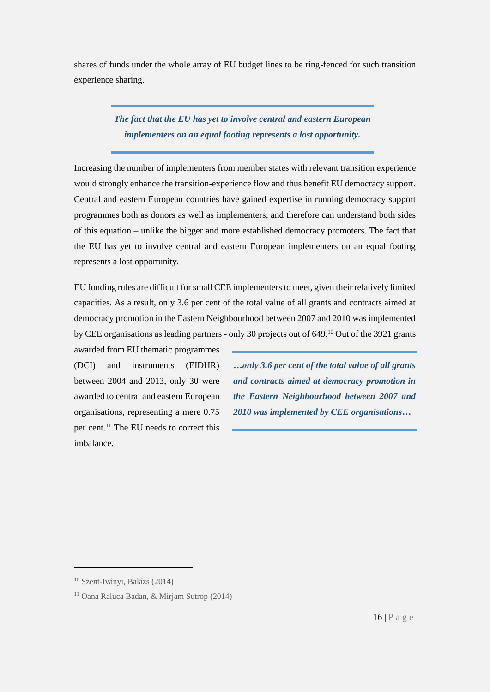shares of funds under the whole array of EU budget lines to be ring-fenced for such transition experience sharing.

> *The fact that the EU has yet to involve central and eastern European implementers on an equal footing represents a lost opportunity.*

Increasing the number of implementers from member states with relevant transition experience would strongly enhance the transition-experience flow and thus benefit EU democracy support. Central and eastern European countries have gained expertise in running democracy support programmes both as donors as well as implementers, and therefore can understand both sides of this equation – unlike the bigger and more established democracy promoters. The fact that the EU has yet to involve central and eastern European implementers on an equal footing represents a lost opportunity.

EU funding rules are difficult for small CEE implementers to meet, given their relatively limited capacities. As a result, only 3.6 per cent of the total value of all grants and contracts aimed at democracy promotion in the Eastern Neighbourhood between 2007 and 2010 was implemented by CEE organisations as leading partners - only 30 projects out of 649.<sup>10</sup> Out of the 3921 grants

awarded from EU thematic programmes (DCI) and instruments (EIDHR) between 2004 and 2013, only 30 were awarded to central and eastern European organisations, representing a mere 0.75 per cent.<sup>11</sup> The EU needs to correct this imbalance.

*…only 3.6 per cent of the total value of all grants and contracts aimed at democracy promotion in the Eastern Neighbourhood between 2007 and 2010 was implemented by CEE organisations…*

<sup>10</sup> Szent-Iványi, Balázs (2014)

<sup>11</sup> Oana Raluca Badan, & Mirjam Sutrop (2014)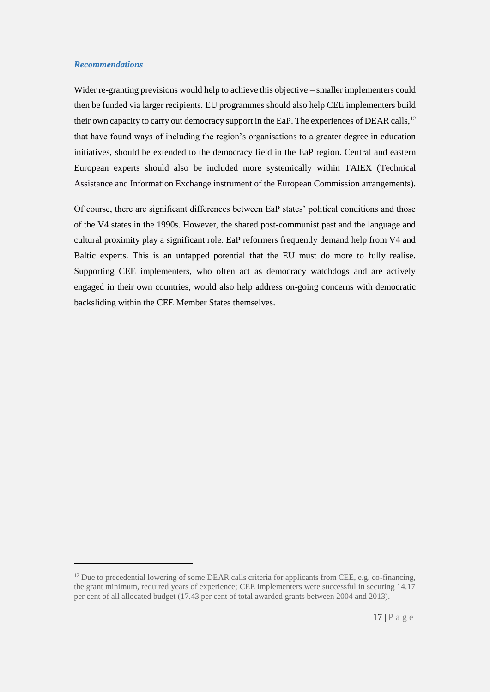#### *Recommendations*

<u>.</u>

Wider re-granting previsions would help to achieve this objective – smaller implementers could then be funded via larger recipients. EU programmes should also help CEE implementers build their own capacity to carry out democracy support in the EaP. The experiences of DEAR calls,<sup>12</sup> that have found ways of including the region's organisations to a greater degree in education initiatives, should be extended to the democracy field in the EaP region. Central and eastern European experts should also be included more systemically within TAIEX (Technical Assistance and Information Exchange instrument of the European Commission arrangements).

Of course, there are significant differences between EaP states' political conditions and those of the V4 states in the 1990s. However, the shared post-communist past and the language and cultural proximity play a significant role. EaP reformers frequently demand help from V4 and Baltic experts. This is an untapped potential that the EU must do more to fully realise. Supporting CEE implementers, who often act as democracy watchdogs and are actively engaged in their own countries, would also help address on-going concerns with democratic backsliding within the CEE Member States themselves.

 $12$  Due to precedential lowering of some DEAR calls criteria for applicants from CEE, e.g. co-financing, the grant minimum, required years of experience; CEE implementers were successful in securing 14.17 per cent of all allocated budget (17.43 per cent of total awarded grants between 2004 and 2013).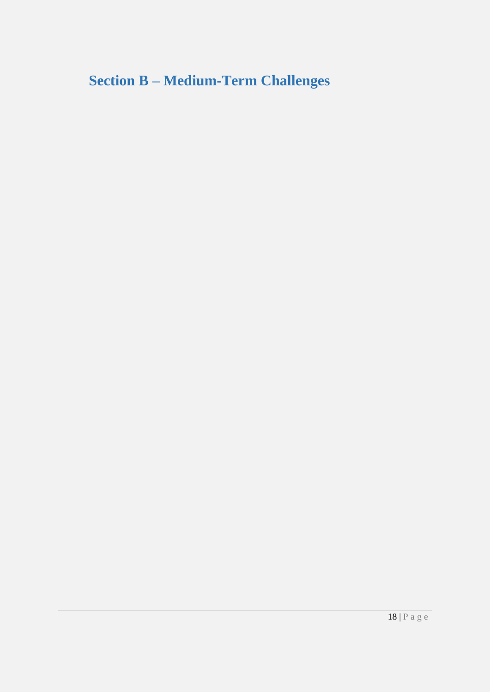<span id="page-17-0"></span>**Section B – Medium-Term Challenges**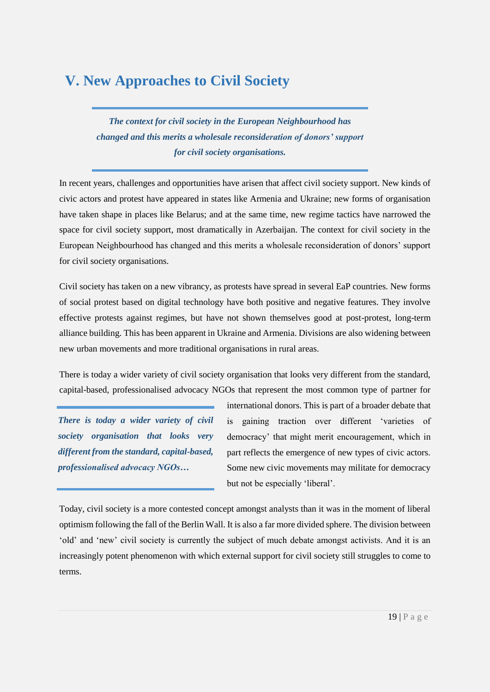## <span id="page-18-0"></span>**V. New Approaches to Civil Society**

*The context for civil society in the European Neighbourhood has changed and this merits a wholesale reconsideration of donors' support for civil society organisations.*

In recent years, challenges and opportunities have arisen that affect civil society support. New kinds of civic actors and protest have appeared in states like Armenia and Ukraine; new forms of organisation have taken shape in places like Belarus; and at the same time, new regime tactics have narrowed the space for civil society support, most dramatically in Azerbaijan. The context for civil society in the European Neighbourhood has changed and this merits a wholesale reconsideration of donors' support for civil society organisations.

Civil society has taken on a new vibrancy, as protests have spread in several EaP countries. New forms of social protest based on digital technology have both positive and negative features. They involve effective protests against regimes, but have not shown themselves good at post-protest, long-term alliance building. This has been apparent in Ukraine and Armenia. Divisions are also widening between new urban movements and more traditional organisations in rural areas.

There is today a wider variety of civil society organisation that looks very different from the standard, capital-based, professionalised advocacy NGOs that represent the most common type of partner for

*There is today a wider variety of civil society organisation that looks very different from the standard, capital-based, professionalised advocacy NGOs…*

international donors. This is part of a broader debate that is gaining traction over different 'varieties of democracy' that might merit encouragement, which in part reflects the emergence of new types of civic actors. Some new civic movements may militate for democracy but not be especially 'liberal'.

Today, civil society is a more contested concept amongst analysts than it was in the moment of liberal optimism following the fall of the Berlin Wall. It is also a far more divided sphere. The division between 'old' and 'new' civil society is currently the subject of much debate amongst activists. And it is an increasingly potent phenomenon with which external support for civil society still struggles to come to terms.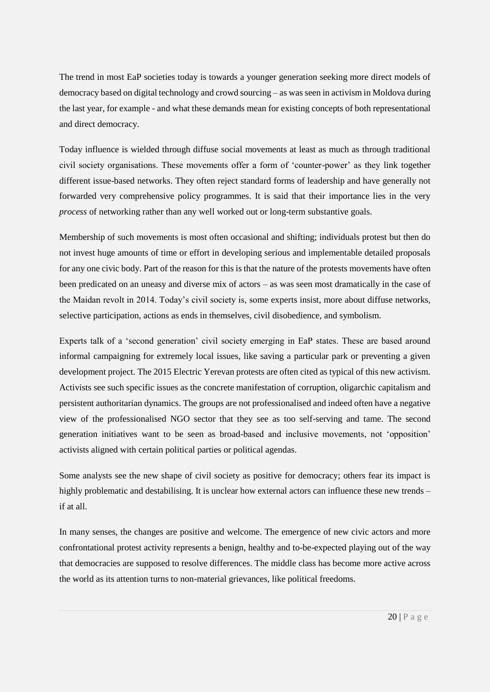The trend in most EaP societies today is towards a younger generation seeking more direct models of democracy based on digital technology and crowd sourcing – as was seen in activism in Moldova during the last year, for example - and what these demands mean for existing concepts of both representational and direct democracy.

Today influence is wielded through diffuse social movements at least as much as through traditional civil society organisations. These movements offer a form of 'counter-power' as they link together different issue-based networks. They often reject standard forms of leadership and have generally not forwarded very comprehensive policy programmes. It is said that their importance lies in the very *process* of networking rather than any well worked out or long-term substantive goals.

Membership of such movements is most often occasional and shifting; individuals protest but then do not invest huge amounts of time or effort in developing serious and implementable detailed proposals for any one civic body. Part of the reason for this is that the nature of the protests movements have often been predicated on an uneasy and diverse mix of actors – as was seen most dramatically in the case of the Maidan revolt in 2014. Today's civil society is, some experts insist, more about diffuse networks, selective participation, actions as ends in themselves, civil disobedience, and symbolism.

Experts talk of a 'second generation' civil society emerging in EaP states. These are based around informal campaigning for extremely local issues, like saving a particular park or preventing a given development project. The 2015 Electric Yerevan protests are often cited as typical of this new activism. Activists see such specific issues as the concrete manifestation of corruption, oligarchic capitalism and persistent authoritarian dynamics. The groups are not professionalised and indeed often have a negative view of the professionalised NGO sector that they see as too self-serving and tame. The second generation initiatives want to be seen as broad-based and inclusive movements, not 'opposition' activists aligned with certain political parties or political agendas.

Some analysts see the new shape of civil society as positive for democracy; others fear its impact is highly problematic and destabilising. It is unclear how external actors can influence these new trends – if at all.

In many senses, the changes are positive and welcome. The emergence of new civic actors and more confrontational protest activity represents a benign, healthy and to-be-expected playing out of the way that democracies are supposed to resolve differences. The middle class has become more active across the world as its attention turns to non-material grievances, like political freedoms.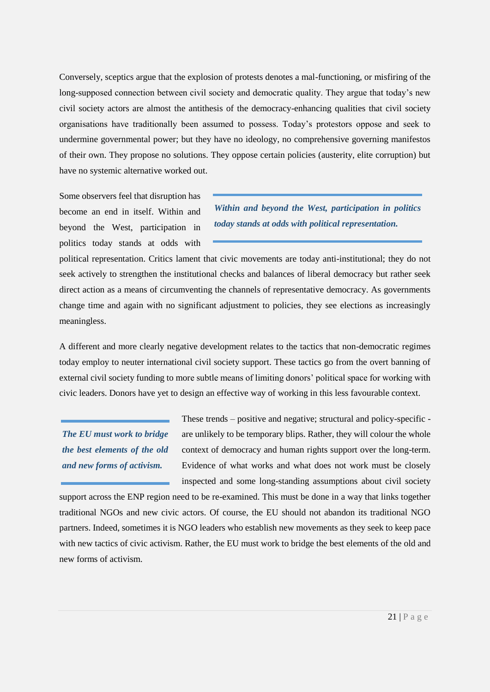Conversely, sceptics argue that the explosion of protests denotes a mal-functioning, or misfiring of the long-supposed connection between civil society and democratic quality. They argue that today's new civil society actors are almost the antithesis of the democracy-enhancing qualities that civil society organisations have traditionally been assumed to possess. Today's protestors oppose and seek to undermine governmental power; but they have no ideology, no comprehensive governing manifestos of their own. They propose no solutions. They oppose certain policies (austerity, elite corruption) but have no systemic alternative worked out.

Some observers feel that disruption has become an end in itself. Within and beyond the West, participation in politics today stands at odds with

*Within and beyond the West, participation in politics today stands at odds with political representation.*

political representation. Critics lament that civic movements are today anti-institutional; they do not seek actively to strengthen the institutional checks and balances of liberal democracy but rather seek direct action as a means of circumventing the channels of representative democracy. As governments change time and again with no significant adjustment to policies, they see elections as increasingly meaningless.

A different and more clearly negative development relates to the tactics that non-democratic regimes today employ to neuter international civil society support. These tactics go from the overt banning of external civil society funding to more subtle means of limiting donors' political space for working with civic leaders. Donors have yet to design an effective way of working in this less favourable context.

*The EU must work to bridge the best elements of the old and new forms of activism.*

These trends – positive and negative; structural and policy-specific are unlikely to be temporary blips. Rather, they will colour the whole context of democracy and human rights support over the long-term. Evidence of what works and what does not work must be closely inspected and some long-standing assumptions about civil society

support across the ENP region need to be re-examined. This must be done in a way that links together traditional NGOs and new civic actors. Of course, the EU should not abandon its traditional NGO partners. Indeed, sometimes it is NGO leaders who establish new movements as they seek to keep pace with new tactics of civic activism. Rather, the EU must work to bridge the best elements of the old and new forms of activism.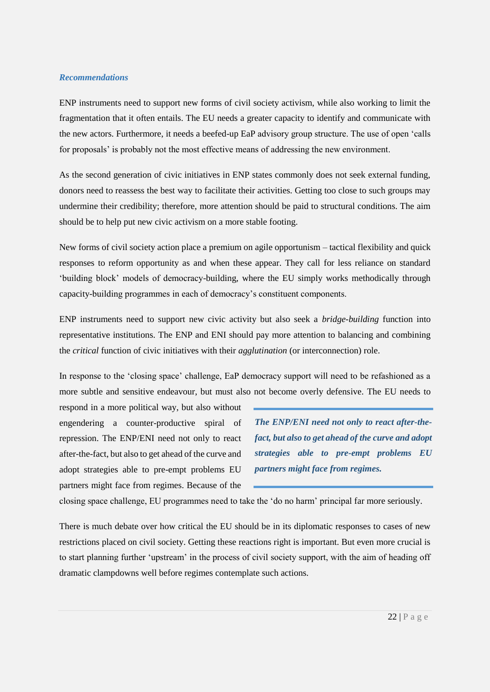#### *Recommendations*

ENP instruments need to support new forms of civil society activism, while also working to limit the fragmentation that it often entails. The EU needs a greater capacity to identify and communicate with the new actors. Furthermore, it needs a beefed-up EaP advisory group structure. The use of open 'calls for proposals' is probably not the most effective means of addressing the new environment.

As the second generation of civic initiatives in ENP states commonly does not seek external funding, donors need to reassess the best way to facilitate their activities. Getting too close to such groups may undermine their credibility; therefore, more attention should be paid to structural conditions. The aim should be to help put new civic activism on a more stable footing.

New forms of civil society action place a premium on agile opportunism – tactical flexibility and quick responses to reform opportunity as and when these appear. They call for less reliance on standard 'building block' models of democracy-building, where the EU simply works methodically through capacity-building programmes in each of democracy's constituent components.

ENP instruments need to support new civic activity but also seek a *bridge-building* function into representative institutions. The ENP and ENI should pay more attention to balancing and combining the *critical* function of civic initiatives with their *agglutination* (or interconnection) role.

In response to the 'closing space' challenge, EaP democracy support will need to be refashioned as a more subtle and sensitive endeavour, but must also not become overly defensive. The EU needs to

respond in a more political way, but also without engendering a counter-productive spiral of repression. The ENP/ENI need not only to react after-the-fact, but also to get ahead of the curve and adopt strategies able to pre-empt problems EU partners might face from regimes. Because of the

*The ENP/ENI need not only to react after-thefact, but also to get ahead of the curve and adopt strategies able to pre-empt problems EU partners might face from regimes.*

closing space challenge, EU programmes need to take the 'do no harm' principal far more seriously.

There is much debate over how critical the EU should be in its diplomatic responses to cases of new restrictions placed on civil society. Getting these reactions right is important. But even more crucial is to start planning further 'upstream' in the process of civil society support, with the aim of heading off dramatic clampdowns well before regimes contemplate such actions.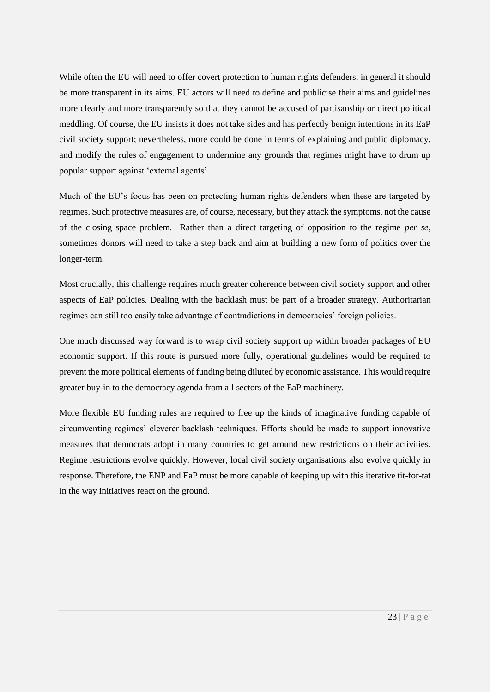While often the EU will need to offer covert protection to human rights defenders, in general it should be more transparent in its aims. EU actors will need to define and publicise their aims and guidelines more clearly and more transparently so that they cannot be accused of partisanship or direct political meddling. Of course, the EU insists it does not take sides and has perfectly benign intentions in its EaP civil society support; nevertheless, more could be done in terms of explaining and public diplomacy, and modify the rules of engagement to undermine any grounds that regimes might have to drum up popular support against 'external agents'.

Much of the EU's focus has been on protecting human rights defenders when these are targeted by regimes. Such protective measures are, of course, necessary, but they attack the symptoms, not the cause of the closing space problem. Rather than a direct targeting of opposition to the regime *per se*, sometimes donors will need to take a step back and aim at building a new form of politics over the longer-term.

Most crucially, this challenge requires much greater coherence between civil society support and other aspects of EaP policies. Dealing with the backlash must be part of a broader strategy. Authoritarian regimes can still too easily take advantage of contradictions in democracies' foreign policies.

One much discussed way forward is to wrap civil society support up within broader packages of EU economic support. If this route is pursued more fully, operational guidelines would be required to prevent the more political elements of funding being diluted by economic assistance. This would require greater buy-in to the democracy agenda from all sectors of the EaP machinery.

More flexible EU funding rules are required to free up the kinds of imaginative funding capable of circumventing regimes' cleverer backlash techniques. Efforts should be made to support innovative measures that democrats adopt in many countries to get around new restrictions on their activities. Regime restrictions evolve quickly. However, local civil society organisations also evolve quickly in response. Therefore, the ENP and EaP must be more capable of keeping up with this iterative tit-for-tat in the way initiatives react on the ground.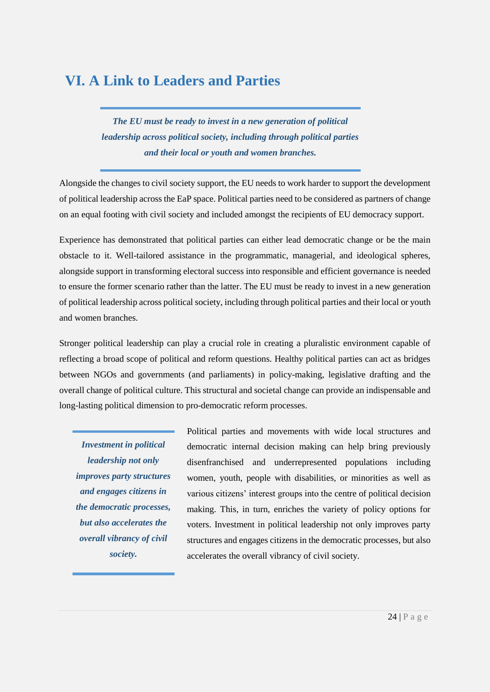## <span id="page-23-0"></span>**VI. A Link to Leaders and Parties**

*The EU must be ready to invest in a new generation of political leadership across political society, including through political parties and their local or youth and women branches.*

Alongside the changes to civil society support, the EU needs to work harder to support the development of political leadership across the EaP space. Political parties need to be considered as partners of change on an equal footing with civil society and included amongst the recipients of EU democracy support.

Experience has demonstrated that political parties can either lead democratic change or be the main obstacle to it. Well-tailored assistance in the programmatic, managerial, and ideological spheres, alongside support in transforming electoral success into responsible and efficient governance is needed to ensure the former scenario rather than the latter. The EU must be ready to invest in a new generation of political leadership across political society, including through political parties and their local or youth and women branches.

Stronger political leadership can play a crucial role in creating a pluralistic environment capable of reflecting a broad scope of political and reform questions. Healthy political parties can act as bridges between NGOs and governments (and parliaments) in policy-making, legislative drafting and the overall change of political culture. This structural and societal change can provide an indispensable and long-lasting political dimension to pro-democratic reform processes.

*Investment in political leadership not only improves party structures and engages citizens in the democratic processes, but also accelerates the overall vibrancy of civil society.*

Political parties and movements with wide local structures and democratic internal decision making can help bring previously disenfranchised and underrepresented populations including women, youth, people with disabilities, or minorities as well as various citizens' interest groups into the centre of political decision making. This, in turn, enriches the variety of policy options for voters. Investment in political leadership not only improves party structures and engages citizens in the democratic processes, but also accelerates the overall vibrancy of civil society.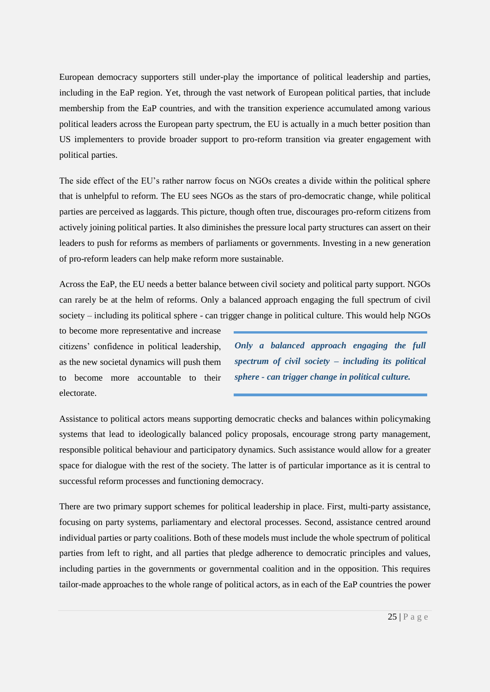European democracy supporters still under-play the importance of political leadership and parties, including in the EaP region. Yet, through the vast network of European political parties, that include membership from the EaP countries, and with the transition experience accumulated among various political leaders across the European party spectrum, the EU is actually in a much better position than US implementers to provide broader support to pro-reform transition via greater engagement with political parties.

The side effect of the EU's rather narrow focus on NGOs creates a divide within the political sphere that is unhelpful to reform. The EU sees NGOs as the stars of pro-democratic change, while political parties are perceived as laggards. This picture, though often true, discourages pro-reform citizens from actively joining political parties. It also diminishes the pressure local party structures can assert on their leaders to push for reforms as members of parliaments or governments. Investing in a new generation of pro-reform leaders can help make reform more sustainable.

Across the EaP, the EU needs a better balance between civil society and political party support. NGOs can rarely be at the helm of reforms. Only a balanced approach engaging the full spectrum of civil society – including its political sphere - can trigger change in political culture. This would help NGOs

to become more representative and increase citizens' confidence in political leadership, as the new societal dynamics will push them to become more accountable to their electorate.

*Only a balanced approach engaging the full spectrum of civil society – including its political sphere - can trigger change in political culture.*

Assistance to political actors means supporting democratic checks and balances within policymaking systems that lead to ideologically balanced policy proposals, encourage strong party management, responsible political behaviour and participatory dynamics. Such assistance would allow for a greater space for dialogue with the rest of the society. The latter is of particular importance as it is central to successful reform processes and functioning democracy.

There are two primary support schemes for political leadership in place. First, multi-party assistance, focusing on party systems, parliamentary and electoral processes. Second, assistance centred around individual parties or party coalitions. Both of these models must include the whole spectrum of political parties from left to right, and all parties that pledge adherence to democratic principles and values, including parties in the governments or governmental coalition and in the opposition. This requires tailor-made approaches to the whole range of political actors, as in each of the EaP countries the power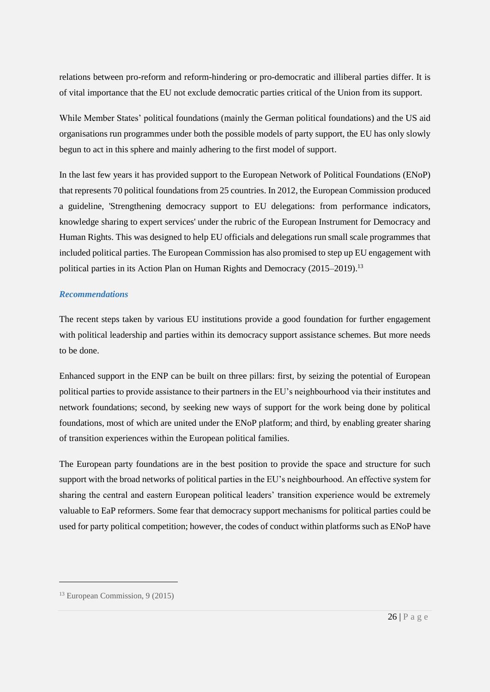relations between pro-reform and reform-hindering or pro-democratic and illiberal parties differ. It is of vital importance that the EU not exclude democratic parties critical of the Union from its support.

While Member States' political foundations (mainly the German political foundations) and the US aid organisations run programmes under both the possible models of party support, the EU has only slowly begun to act in this sphere and mainly adhering to the first model of support.

In the last few years it has provided support to the European Network of Political Foundations (ENoP) that represents 70 political foundations from 25 countries. In 2012, the European Commission produced a guideline, 'Strengthening democracy support to EU delegations: from performance indicators, knowledge sharing to expert services' under the rubric of the European Instrument for Democracy and Human Rights. This was designed to help EU officials and delegations run small scale programmes that included political parties. The European Commission has also promised to step up EU engagement with political parties in its Action Plan on Human Rights and Democracy (2015–2019).<sup>13</sup>

#### *Recommendations*

The recent steps taken by various EU institutions provide a good foundation for further engagement with political leadership and parties within its democracy support assistance schemes. But more needs to be done.

Enhanced support in the ENP can be built on three pillars: first, by seizing the potential of European political parties to provide assistance to their partners in the EU's neighbourhood via their institutes and network foundations; second, by seeking new ways of support for the work being done by political foundations, most of which are united under the ENoP platform; and third, by enabling greater sharing of transition experiences within the European political families.

The European party foundations are in the best position to provide the space and structure for such support with the broad networks of political parties in the EU's neighbourhood. An effective system for sharing the central and eastern European political leaders' transition experience would be extremely valuable to EaP reformers. Some fear that democracy support mechanisms for political parties could be used for party political competition; however, the codes of conduct within platforms such as ENoP have

<sup>13</sup> European Commission, 9 (2015)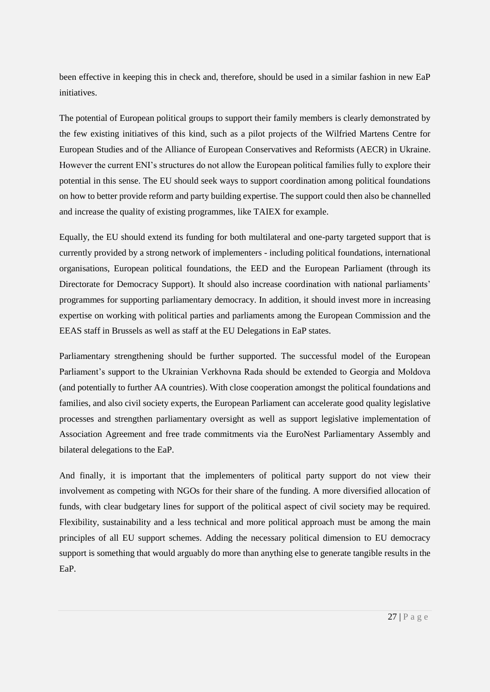been effective in keeping this in check and, therefore, should be used in a similar fashion in new EaP initiatives.

The potential of European political groups to support their family members is clearly demonstrated by the few existing initiatives of this kind, such as a pilot projects of the Wilfried Martens Centre for European Studies and of the Alliance of European Conservatives and Reformists (AECR) in Ukraine. However the current ENI's structures do not allow the European political families fully to explore their potential in this sense. The EU should seek ways to support coordination among political foundations on how to better provide reform and party building expertise. The support could then also be channelled and increase the quality of existing programmes, like TAIEX for example.

Equally, the EU should extend its funding for both multilateral and one-party targeted support that is currently provided by a strong network of implementers - including political foundations, international organisations, European political foundations, the EED and the European Parliament (through its Directorate for Democracy Support). It should also increase coordination with national parliaments' programmes for supporting parliamentary democracy. In addition, it should invest more in increasing expertise on working with political parties and parliaments among the European Commission and the EEAS staff in Brussels as well as staff at the EU Delegations in EaP states.

Parliamentary strengthening should be further supported. The successful model of the European Parliament's support to the Ukrainian Verkhovna Rada should be extended to Georgia and Moldova (and potentially to further AA countries). With close cooperation amongst the political foundations and families, and also civil society experts, the European Parliament can accelerate good quality legislative processes and strengthen parliamentary oversight as well as support legislative implementation of Association Agreement and free trade commitments via the EuroNest Parliamentary Assembly and bilateral delegations to the EaP.

And finally, it is important that the implementers of political party support do not view their involvement as competing with NGOs for their share of the funding. A more diversified allocation of funds, with clear budgetary lines for support of the political aspect of civil society may be required. Flexibility, sustainability and a less technical and more political approach must be among the main principles of all EU support schemes. Adding the necessary political dimension to EU democracy support is something that would arguably do more than anything else to generate tangible results in the EaP.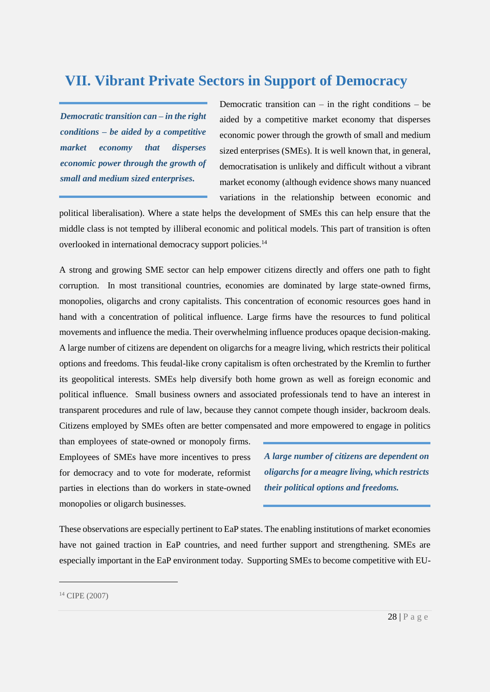### <span id="page-27-0"></span>**VII. Vibrant Private Sectors in Support of Democracy**

*Democratic transition can – in the right conditions – be aided by a competitive market economy that disperses economic power through the growth of small and medium sized enterprises.*

Democratic transition can  $-$  in the right conditions  $-$  be aided by a competitive market economy that disperses economic power through the growth of small and medium sized enterprises (SMEs). It is well known that, in general, democratisation is unlikely and difficult without a vibrant market economy (although evidence shows many nuanced variations in the relationship between economic and

political liberalisation). Where a state helps the development of SMEs this can help ensure that the middle class is not tempted by illiberal economic and political models. This part of transition is often overlooked in international democracy support policies.<sup>14</sup>

A strong and growing SME sector can help empower citizens directly and offers one path to fight corruption. In most transitional countries, economies are dominated by large state-owned firms, monopolies, oligarchs and crony capitalists. This concentration of economic resources goes hand in hand with a concentration of political influence. Large firms have the resources to fund political movements and influence the media. Their overwhelming influence produces opaque decision-making. A large number of citizens are dependent on oligarchs for a meagre living, which restricts their political options and freedoms. This feudal-like crony capitalism is often orchestrated by the Kremlin to further its geopolitical interests. SMEs help diversify both home grown as well as foreign economic and political influence. Small business owners and associated professionals tend to have an interest in transparent procedures and rule of law, because they cannot compete though insider, backroom deals. Citizens employed by SMEs often are better compensated and more empowered to engage in politics

than employees of state-owned or monopoly firms. Employees of SMEs have more incentives to press for democracy and to vote for moderate, reformist parties in elections than do workers in state-owned monopolies or oligarch businesses.

*A large number of citizens are dependent on oligarchs for a meagre living, which restricts their political options and freedoms.*

These observations are especially pertinent to EaP states. The enabling institutions of market economies have not gained traction in EaP countries, and need further support and strengthening. SMEs are especially important in the EaP environment today. Supporting SMEs to become competitive with EU-

<sup>14</sup> CIPE (2007)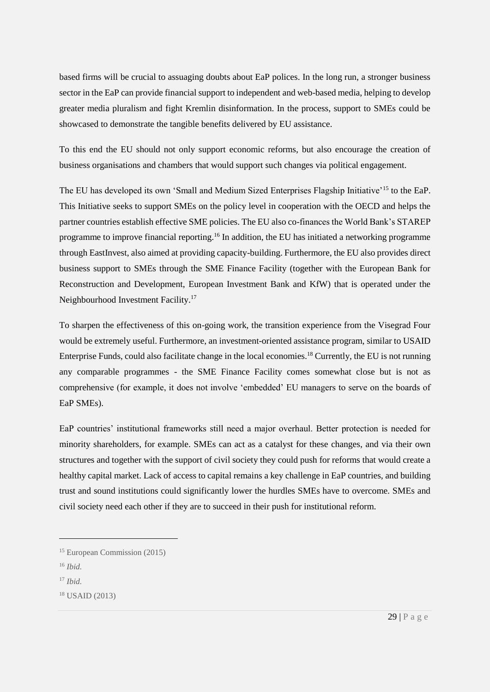based firms will be crucial to assuaging doubts about EaP polices. In the long run, a stronger business sector in the EaP can provide financial support to independent and web-based media, helping to develop greater media pluralism and fight Kremlin disinformation. In the process, support to SMEs could be showcased to demonstrate the tangible benefits delivered by EU assistance.

To this end the EU should not only support economic reforms, but also encourage the creation of business organisations and chambers that would support such changes via political engagement.

The EU has developed its own 'Small and Medium Sized Enterprises Flagship Initiative'<sup>15</sup> to the EaP. This Initiative seeks to support SMEs on the policy level in cooperation with the OECD and helps the partner countries establish effective SME policies. The EU also co-finances the World Bank's STAREP programme to improve financial reporting.<sup>16</sup> In addition, the EU has initiated a networking programme through EastInvest, also aimed at providing capacity-building. Furthermore, the EU also provides direct business support to SMEs through the SME Finance Facility (together with the European Bank for Reconstruction and Development, European Investment Bank and KfW) that is operated under the Neighbourhood Investment Facility.<sup>17</sup>

To sharpen the effectiveness of this on-going work, the transition experience from the Visegrad Four would be extremely useful. Furthermore, an investment-oriented assistance program, similar to USAID Enterprise Funds, could also facilitate change in the local economies.<sup>18</sup> Currently, the EU is not running any comparable programmes - the SME Finance Facility comes somewhat close but is not as comprehensive (for example, it does not involve 'embedded' EU managers to serve on the boards of EaP SMEs).

EaP countries' institutional frameworks still need a major overhaul. Better protection is needed for minority shareholders, for example. SMEs can act as a catalyst for these changes, and via their own structures and together with the support of civil society they could push for reforms that would create a healthy capital market. Lack of access to capital remains a key challenge in EaP countries, and building trust and sound institutions could significantly lower the hurdles SMEs have to overcome. SMEs and civil society need each other if they are to succeed in their push for institutional reform.

<sup>15</sup> European Commission (2015)

<sup>16</sup> *Ibid.*

<sup>17</sup> *Ibid.*

 $18$  USAID (2013)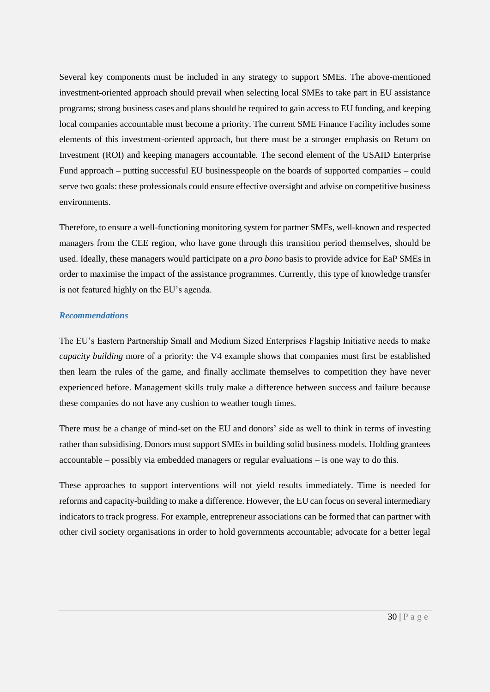Several key components must be included in any strategy to support SMEs. The above-mentioned investment-oriented approach should prevail when selecting local SMEs to take part in EU assistance programs; strong business cases and plans should be required to gain access to EU funding, and keeping local companies accountable must become a priority. The current SME Finance Facility includes some elements of this investment-oriented approach, but there must be a stronger emphasis on Return on Investment (ROI) and keeping managers accountable. The second element of the USAID Enterprise Fund approach – putting successful EU businesspeople on the boards of supported companies – could serve two goals: these professionals could ensure effective oversight and advise on competitive business environments.

Therefore, to ensure a well-functioning monitoring system for partner SMEs, well-known and respected managers from the CEE region, who have gone through this transition period themselves, should be used. Ideally, these managers would participate on a *pro bono* basis to provide advice for EaP SMEs in order to maximise the impact of the assistance programmes. Currently, this type of knowledge transfer is not featured highly on the EU's agenda.

#### *Recommendations*

The EU's Eastern Partnership Small and Medium Sized Enterprises Flagship Initiative needs to make *capacity building* more of a priority: the V4 example shows that companies must first be established then learn the rules of the game, and finally acclimate themselves to competition they have never experienced before. Management skills truly make a difference between success and failure because these companies do not have any cushion to weather tough times.

There must be a change of mind-set on the EU and donors' side as well to think in terms of investing rather than subsidising. Donors must support SMEs in building solid business models. Holding grantees accountable – possibly via embedded managers or regular evaluations – is one way to do this.

These approaches to support interventions will not yield results immediately. Time is needed for reforms and capacity-building to make a difference. However, the EU can focus on several intermediary indicators to track progress. For example, entrepreneur associations can be formed that can partner with other civil society organisations in order to hold governments accountable; advocate for a better legal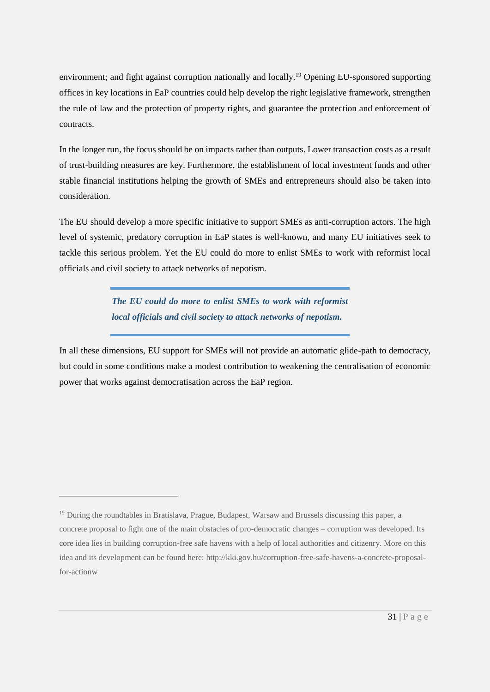environment; and fight against corruption nationally and locally.<sup>19</sup> Opening EU-sponsored supporting offices in key locations in EaP countries could help develop the right legislative framework, strengthen the rule of law and the protection of property rights, and guarantee the protection and enforcement of contracts.

In the longer run, the focus should be on impacts rather than outputs. Lower transaction costs as a result of trust-building measures are key. Furthermore, the establishment of local investment funds and other stable financial institutions helping the growth of SMEs and entrepreneurs should also be taken into consideration.

The EU should develop a more specific initiative to support SMEs as anti-corruption actors. The high level of systemic, predatory corruption in EaP states is well-known, and many EU initiatives seek to tackle this serious problem. Yet the EU could do more to enlist SMEs to work with reformist local officials and civil society to attack networks of nepotism.

> *The EU could do more to enlist SMEs to work with reformist local officials and civil society to attack networks of nepotism.*

In all these dimensions, EU support for SMEs will not provide an automatic glide-path to democracy, but could in some conditions make a modest contribution to weakening the centralisation of economic power that works against democratisation across the EaP region.

<u>.</u>

<sup>19</sup> During the roundtables in Bratislava, Prague, Budapest, Warsaw and Brussels discussing this paper, a concrete proposal to fight one of the main obstacles of pro-democratic changes – corruption was developed. Its core idea lies in building corruption-free safe havens with a help of local authorities and citizenry. More on this idea and its development can be found here: http://kki.gov.hu/corruption-free-safe-havens-a-concrete-proposalfor-actionw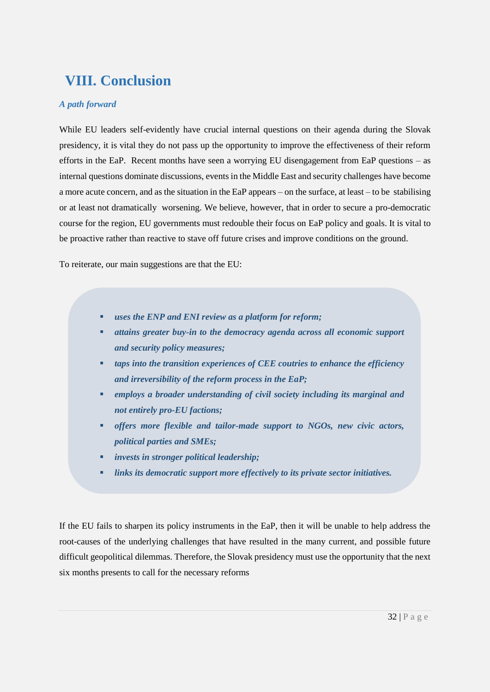## <span id="page-31-0"></span>**VIII. Conclusion**

#### *A path forward*

While EU leaders self-evidently have crucial internal questions on their agenda during the Slovak presidency, it is vital they do not pass up the opportunity to improve the effectiveness of their reform efforts in the EaP. Recent months have seen a worrying EU disengagement from EaP questions – as internal questions dominate discussions, events in the Middle East and security challenges have become a more acute concern, and as the situation in the EaP appears – on the surface, at least – to be stabilising or at least not dramatically worsening. We believe, however, that in order to secure a pro-democratic course for the region, EU governments must redouble their focus on EaP policy and goals. It is vital to be proactive rather than reactive to stave off future crises and improve conditions on the ground.

To reiterate, our main suggestions are that the EU:

- *uses the ENP and ENI review as a platform for reform;*
- *attains greater buy-in to the democracy agenda across all economic support and security policy measures;*
- *taps into the transition experiences of CEE coutries to enhance the efficiency and irreversibility of the reform process in the EaP;*
- *employs a broader understanding of civil society including its marginal and not entirely pro-EU factions;*
- *offers more flexible and tailor-made support to NGOs, new civic actors, political parties and SMEs;*
- *invests in stronger political leadership;*
- *links its democratic support more effectively to its private sector initiatives.*

If the EU fails to sharpen its policy instruments in the EaP, then it will be unable to help address the root-causes of the underlying challenges that have resulted in the many current, and possible future difficult geopolitical dilemmas. Therefore, the Slovak presidency must use the opportunity that the next six months presents to call for the necessary reforms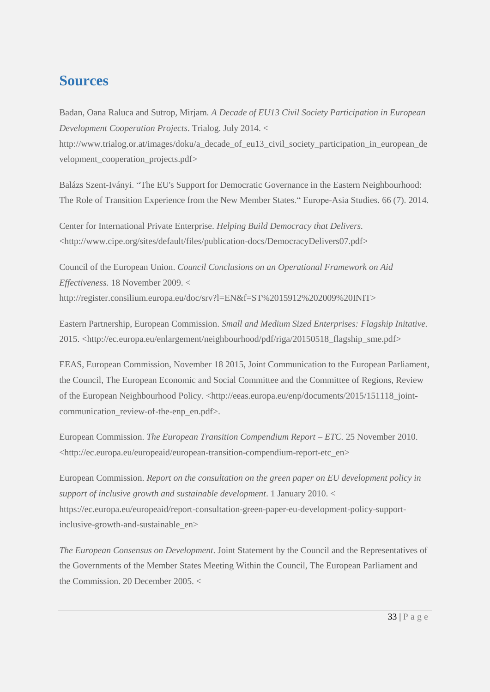### **Sources**

Badan, Oana Raluca and Sutrop, Mirjam. *A Decade of EU13 Civil Society Participation in European Development Cooperation Projects*. Trialog. July 2014. <

http://www.trialog.or.at/images/doku/a\_decade\_of\_eu13\_civil\_society\_participation\_in\_european\_de velopment\_cooperation\_projects.pdf>

Balázs Szent-Iványi. "The EU's Support for Democratic Governance in the Eastern Neighbourhood: The Role of Transition Experience from the New Member States." Europe-Asia Studies. 66 (7). 2014.

Center for International Private Enterprise. *Helping Build Democracy that Delivers.* <http://www.cipe.org/sites/default/files/publication-docs/DemocracyDelivers07.pdf>

Council of the European Union. *Council Conclusions on an Operational Framework on Aid Effectiveness.* 18 November 2009. < http://register.consilium.europa.eu/doc/srv?l=EN&f=ST%2015912%202009%20INIT>

Eastern Partnership, European Commission. *Small and Medium Sized Enterprises: Flagship Initative.* 2015. <http://ec.europa.eu/enlargement/neighbourhood/pdf/riga/20150518\_flagship\_sme.pdf>

EEAS, European Commission, November 18 2015, Joint Communication to the European Parliament, the Council, The European Economic and Social Committee and the Committee of Regions, Review of the European Neighbourhood Policy. [<http://eeas.europa.eu/enp/documents/2015/151118\\_joint](http://eeas.europa.eu/enp/documents/2015/151118_joint-communication_review-of-the-enp_en.pdf)[communication\\_review-of-the-enp\\_en.pdf>](http://eeas.europa.eu/enp/documents/2015/151118_joint-communication_review-of-the-enp_en.pdf).

European Commission. *The European Transition Compendium Report – ETC.* 25 November 2010. <http://ec.europa.eu/europeaid/european-transition-compendium-report-etc\_en>

European Commission. *Report on the consultation on the green paper on EU development policy in support of inclusive growth and sustainable development*. 1 January 2010. < https://ec.europa.eu/europeaid/report-consultation-green-paper-eu-development-policy-supportinclusive-growth-and-sustainable\_en>

*The European Consensus on Development*. Joint Statement by the Council and the Representatives of the Governments of the Member States Meeting Within the Council, The European Parliament and the Commission. 20 December 2005. <